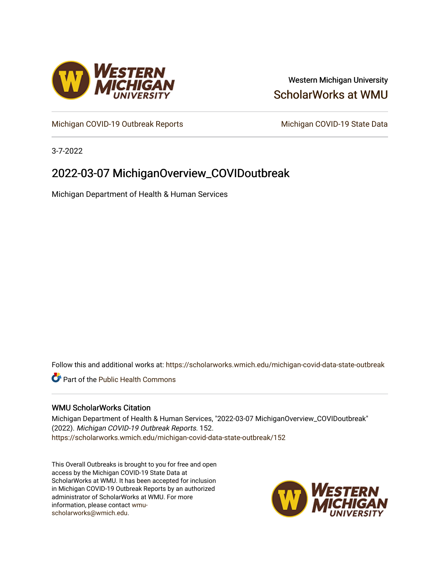

### Western Michigan University [ScholarWorks at WMU](https://scholarworks.wmich.edu/)

[Michigan COVID-19 Outbreak Reports](https://scholarworks.wmich.edu/michigan-covid-data-state-outbreak) Michigan COVID-19 State Data

3-7-2022

## 2022-03-07 MichiganOverview\_COVIDoutbreak

Michigan Department of Health & Human Services

Follow this and additional works at: [https://scholarworks.wmich.edu/michigan-covid-data-state-outbreak](https://scholarworks.wmich.edu/michigan-covid-data-state-outbreak?utm_source=scholarworks.wmich.edu%2Fmichigan-covid-data-state-outbreak%2F152&utm_medium=PDF&utm_campaign=PDFCoverPages)

**C** Part of the Public Health Commons

#### WMU ScholarWorks Citation

Michigan Department of Health & Human Services, "2022-03-07 MichiganOverview\_COVIDoutbreak" (2022). Michigan COVID-19 Outbreak Reports. 152. [https://scholarworks.wmich.edu/michigan-covid-data-state-outbreak/152](https://scholarworks.wmich.edu/michigan-covid-data-state-outbreak/152?utm_source=scholarworks.wmich.edu%2Fmichigan-covid-data-state-outbreak%2F152&utm_medium=PDF&utm_campaign=PDFCoverPages) 

This Overall Outbreaks is brought to you for free and open access by the Michigan COVID-19 State Data at ScholarWorks at WMU. It has been accepted for inclusion in Michigan COVID-19 Outbreak Reports by an authorized administrator of ScholarWorks at WMU. For more information, please contact [wmu](mailto:wmu-scholarworks@wmich.edu)[scholarworks@wmich.edu.](mailto:wmu-scholarworks@wmich.edu)